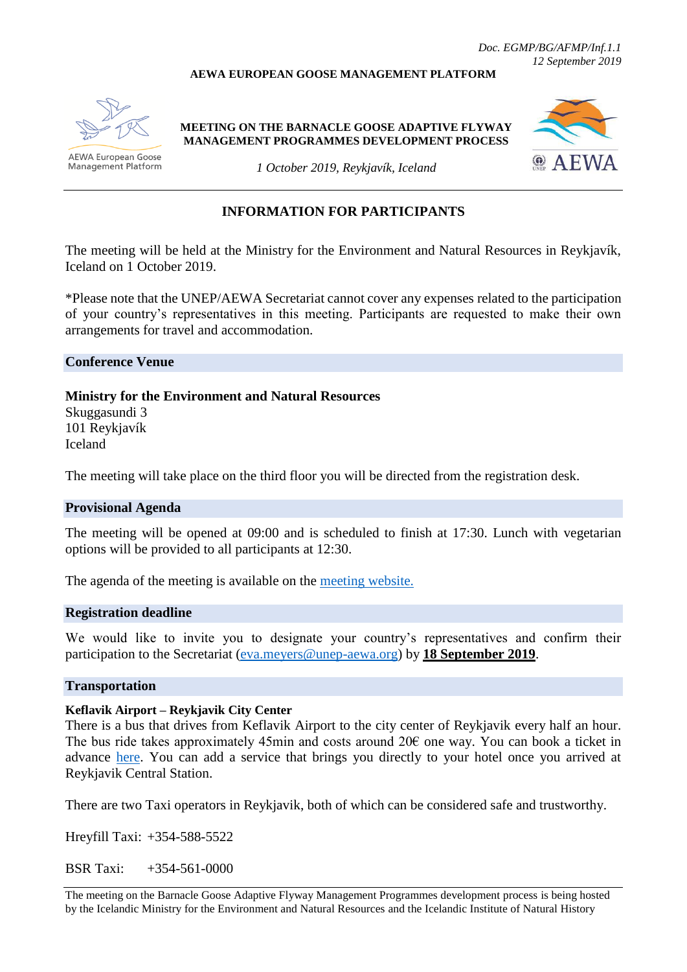#### **AEWA EUROPEAN GOOSE MANAGEMENT PLATFORM**



**AEWA European Goose Management Platform** 

**MEETING ON THE BARNACLE GOOSE ADAPTIVE FLYWAY MANAGEMENT PROGRAMMES DEVELOPMENT PROCESS**



*1 October 2019, Reykjavík, Iceland*

## **INFORMATION FOR PARTICIPANTS**

The meeting will be held at the Ministry for the Environment and Natural Resources in Reykjavík, Iceland on 1 October 2019.

\*Please note that the UNEP/AEWA Secretariat cannot cover any expenses related to the participation of your country's representatives in this meeting. Participants are requested to make their own arrangements for travel and accommodation.

**Conference Venue**

**Ministry for the Environment and Natural Resources**

Skuggasundi 3 101 Reykjavík Iceland

The meeting will take place on the third floor you will be directed from the registration desk.

### **Provisional Agenda**

The meeting will be opened at 09:00 and is scheduled to finish at 17:30. Lunch with vegetarian options will be provided to all participants at 12:30.

The agenda of the meeting is available on the [meeting website.](https://egmp.aewa.info/sites/default/files/meeting_files/documents/EGMP_provisional_agenda_iceland.pdf)

### **Registration deadline**

We would like to invite you to designate your country's representatives and confirm their participation to the Secretariat [\(eva.meyers@unep-aewa.org\)](mailto:eva.meyers@unep-aewa.org) by **18 September 2019**.

### **Transportation**

### **Keflavik Airport – Reykjavik City Center**

There is a bus that drives from Keflavik Airport to the city center of Reykjavik every half an hour. The bus ride takes approximately 45min and costs around  $20\epsilon$  one way. You can book a ticket in advance [here.](https://www.re.is/tour/flybus/?gclid=CjwKCAjwtuLrBRAlEiwAPVcZBkqEhpxsn9A4TmNa40Olsc_edvRhODPCv4I1gOwJsiOIxGzDADTFihoCyLoQAvD_BwE) You can add a service that brings you directly to your hotel once you arrived at Reykjavik Central Station.

There are two Taxi operators in Reykjavik, both of which can be considered safe and trustworthy.

Hreyfill Taxi: +354-588-5522

BSR Taxi: +354-561-0000

The meeting on the Barnacle Goose Adaptive Flyway Management Programmes development process is being hosted by the Icelandic Ministry for the Environment and Natural Resources and the Icelandic Institute of Natural History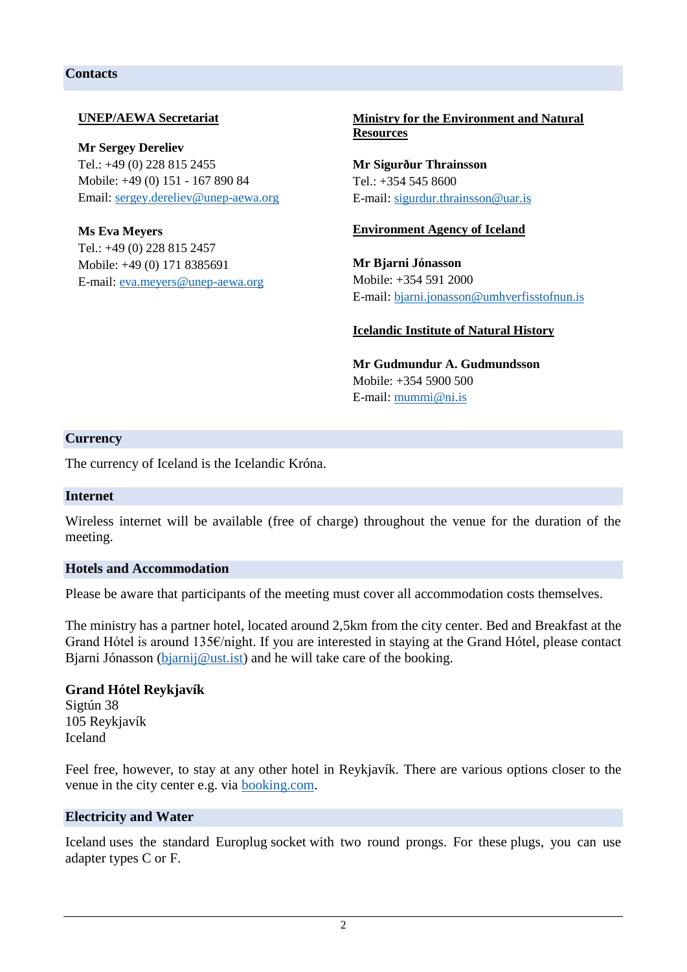## **Contacts**

## **UNEP/AEWA Secretariat**

**Mr Sergey Dereliev**  Tel.: +49 (0) 228 815 2455 Mobile: +49 (0) 151 - 167 890 84 Email: [sergey.dereliev@unep-aewa.org](mailto:sergey.dereliev@unep-aewa.org)

**Ms Eva Meyers** Tel.: +49 (0) 228 815 2457 Mobile: +49 (0) 171 8385691 E-mail: [eva.meyers@unep-aewa.org](mailto:eva.meyers@unep-aewa.org)

## **Ministry for the Environment and Natural Resources**

**Mr Sigurður Thrainsson** Tel.: +354 545 8600 E-mail: [sigurdur.thrainsson@uar.is](mailto:sigurdur.thrainsson@uar.is)

### **Environment Agency of Iceland**

**Mr Bjarni Jónasson** Mobile: +354 591 2000 E-mail: [bjarni.jonasson@umhverfisstofnun.is](mailto:bjarni.jonasson@umhverfisstofnun.is)

## **Icelandic Institute of Natural History**

**Mr Gudmundur A. Gudmundsson** Mobile: +354 5900 500 E-mail: [mummi@ni.is](mailto:mummi@ni.is)

### **Currency**

The currency of Iceland is the Icelandic Króna.

### **Internet**

Wireless internet will be available (free of charge) throughout the venue for the duration of the meeting.

### **Hotels and Accommodation**

Please be aware that participants of the meeting must cover all accommodation costs themselves.

The ministry has a partner hotel, located around 2,5km from the city center. Bed and Breakfast at the Grand Hótel is around 135€/night. If you are interested in staying at the Grand Hótel, please contact Bjarni Jónasson [\(bjarnij@ust.ist\)](mailto:bjarnij@ust.ist) and he will take care of the booking.

### **Grand Hótel Reykjavík** Sigtún 38 105 Reykjavík Iceland

Feel free, however, to stay at any other hotel in Reykjavík. There are various options closer to the venue in the city center e.g. via [booking.com.](https://www.booking.com/searchresults.de.html?label=gen173nr-1DCAEoggI46AdIM1gEaDuIAQGYAQe4ARfIAQzYAQPoAQGIAgGoAgO4AvWj6OsFwAIB&lang=de&sid=bd578ce0cc00b76ce5a17a5019af4daa&sb=1&src=index&src_elem=sb&error_url=https%3A%2F%2Fwww.booking.com%2Findex.de.html%3Flabel%3Dgen173nr-1DCAEoggI46AdIM1gEaDuIAQGYAQe4ARfIAQzYAQPoAQGIAgGoAgO4AvWj6OsFwAIB%3Bsid%3Dbd578ce0cc00b76ce5a17a5019af4daa%3Bsb_price_type%3Dtotal%26%3B&ss=Reykjav%C3%ADk&is_ski_area=0&ssne=Reykjav%C3%ADk&ssne_untouched=Reykjav%C3%ADk&dest_id=-2651804&dest_type=city&checkin_monthday=30&checkin_month=9&checkin_year=2019&checkout_monthday=2&checkout_month=10&checkout_year=2019&group_adults=1&group_children=0&no_rooms=1&b_h4u_keep_filters=&from_sf=1)

### **Electricity and Water**

Iceland uses the standard Europlug socket with two round prongs. For these plugs, you can use adapter types C or F.